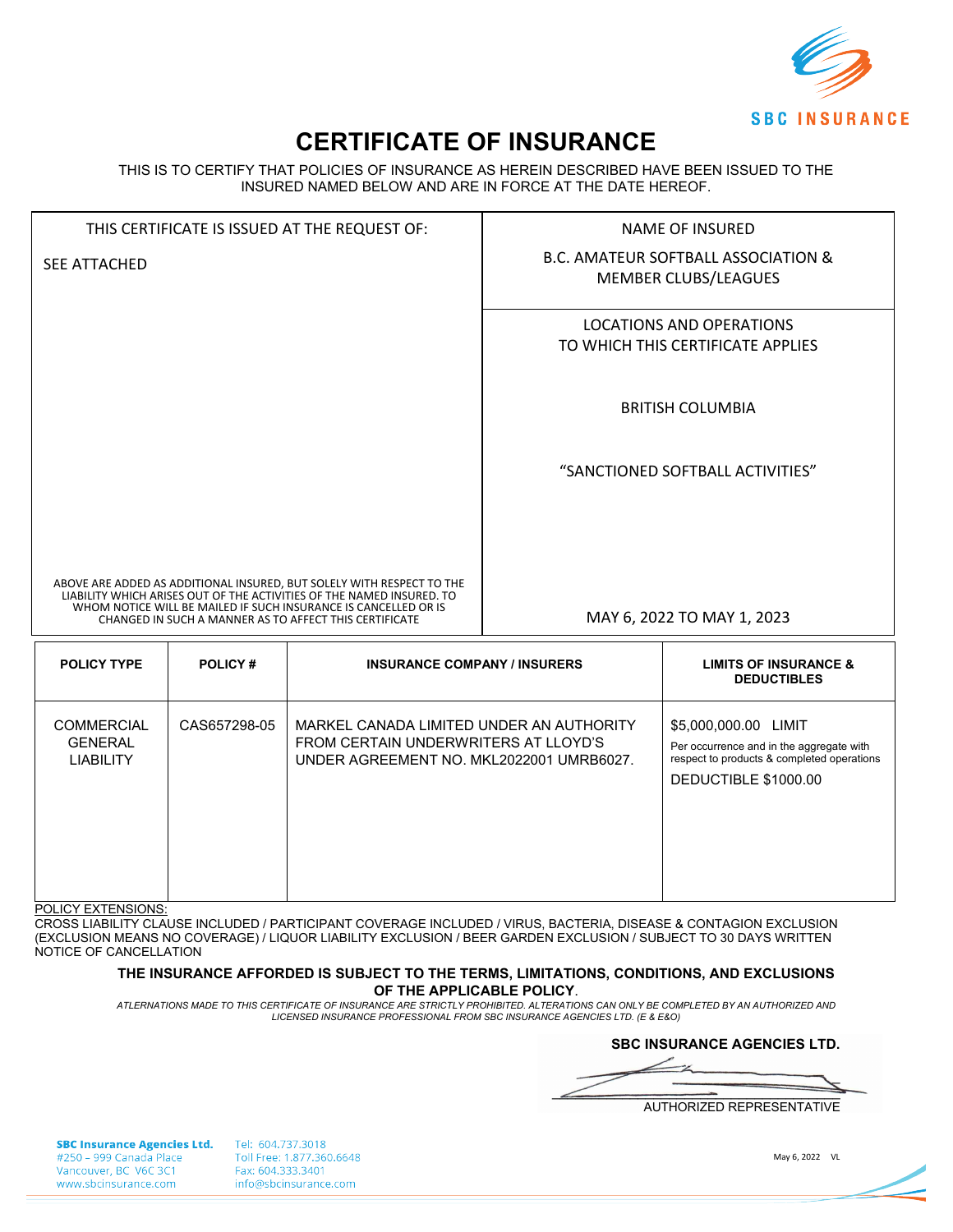

# **CERTIFICATE OF INSURANCE**

THIS IS TO CERTIFY THAT POLICIES OF INSURANCE AS HEREIN DESCRIBED HAVE BEEN ISSUED TO THE INSURED NAMED BELOW AND ARE IN FORCE AT THE DATE HEREOF.

| THIS CERTIFICATE IS ISSUED AT THE REQUEST OF: |              | <b>NAME OF INSURED</b>                                                                                                                                                                                                                                                      |  |                                                                        |
|-----------------------------------------------|--------------|-----------------------------------------------------------------------------------------------------------------------------------------------------------------------------------------------------------------------------------------------------------------------------|--|------------------------------------------------------------------------|
| <b>SEE ATTACHED</b>                           |              |                                                                                                                                                                                                                                                                             |  | <b>B.C. AMATEUR SOFTBALL ASSOCIATION &amp;</b><br>MEMBER CLUBS/LEAGUES |
|                                               |              |                                                                                                                                                                                                                                                                             |  | <b>LOCATIONS AND OPERATIONS</b><br>TO WHICH THIS CERTIFICATE APPLIES   |
|                                               |              |                                                                                                                                                                                                                                                                             |  | <b>BRITISH COLUMBIA</b>                                                |
|                                               |              |                                                                                                                                                                                                                                                                             |  | "SANCTIONED SOFTBALL ACTIVITIES"                                       |
|                                               |              |                                                                                                                                                                                                                                                                             |  |                                                                        |
|                                               |              | ABOVE ARE ADDED AS ADDITIONAL INSURED, BUT SOLELY WITH RESPECT TO THE<br>LIABILITY WHICH ARISES OUT OF THE ACTIVITIES OF THE NAMED INSURED. TO<br>WHOM NOTICE WILL BE MAILED IF SUCH INSURANCE IS CANCELLED OR IS<br>CHANGED IN SUCH A MANNER AS TO AFFECT THIS CERTIFICATE |  | MAY 6, 2022 TO MAY 1, 2023                                             |
| <b>POLICY TYPE</b>                            | POLICY#      | <b>INSURANCE COMPANY / INSURERS</b>                                                                                                                                                                                                                                         |  | <b>LIMITS OF INSURANCE &amp;</b><br><b>DEDUCTIBLES</b>                 |
| <b>COMMERCIAL</b><br><b>GENERAL</b>           | CAS657298-05 | MARKEL CANADA LIMITED UNDER AN AUTHORITY<br>FROM CERTAIN UNDERWRITERS AT LLOYD'S                                                                                                                                                                                            |  | \$5,000,000.00 LIMIT<br>Per occurrence and in the aggregate with       |

UNDER AGREEMENT NO. MKL2022001 UMRB6027.

POLICY EXTENSIONS:

LIABILITY

CROSS LIABILITY CLAUSE INCLUDED / PARTICIPANT COVERAGE INCLUDED / VIRUS, BACTERIA, DISEASE & CONTAGION EXCLUSION (EXCLUSION MEANS NO COVERAGE) / LIQUOR LIABILITY EXCLUSION / BEER GARDEN EXCLUSION / SUBJECT TO 30 DAYS WRITTEN NOTICE OF CANCELLATION

#### **THE INSURANCE AFFORDED IS SUBJECT TO THE TERMS, LIMITATIONS, CONDITIONS, AND EXCLUSIONS OF THE APPLICABLE POLICY**.

*ATLERNATIONS MADE TO THIS CERTIFICATE OF INSURANCE ARE STRICTLY PROHIBITED. ALTERATIONS CAN ONLY BE COMPLETED BY AN AUTHORIZED AND LICENSED INSURANCE PROFESSIONAL FROM SBC INSURANCE AGENCIES LTD. (E & E&O)*

**SBC INSURANCE AGENCIES LTD.**

respect to products & completed operations

DEDUCTIBLE \$1000.00

 $\rightarrow$  $\overline{\phantom{0}}$  $\overbrace{\phantom{\qquad \qquad }}$ 

AUTHORIZED REPRESENTATIVE

**SBC Insurance Agencies Ltd.** #250 - 999 Canada Place Vancouver, BC V6C 3C1 www.sbcinsurance.com

Tel: 604.737.3018 Toll Free: 1.877.360.6648 Fax: 604.333.3401 info@sbcinsurance.com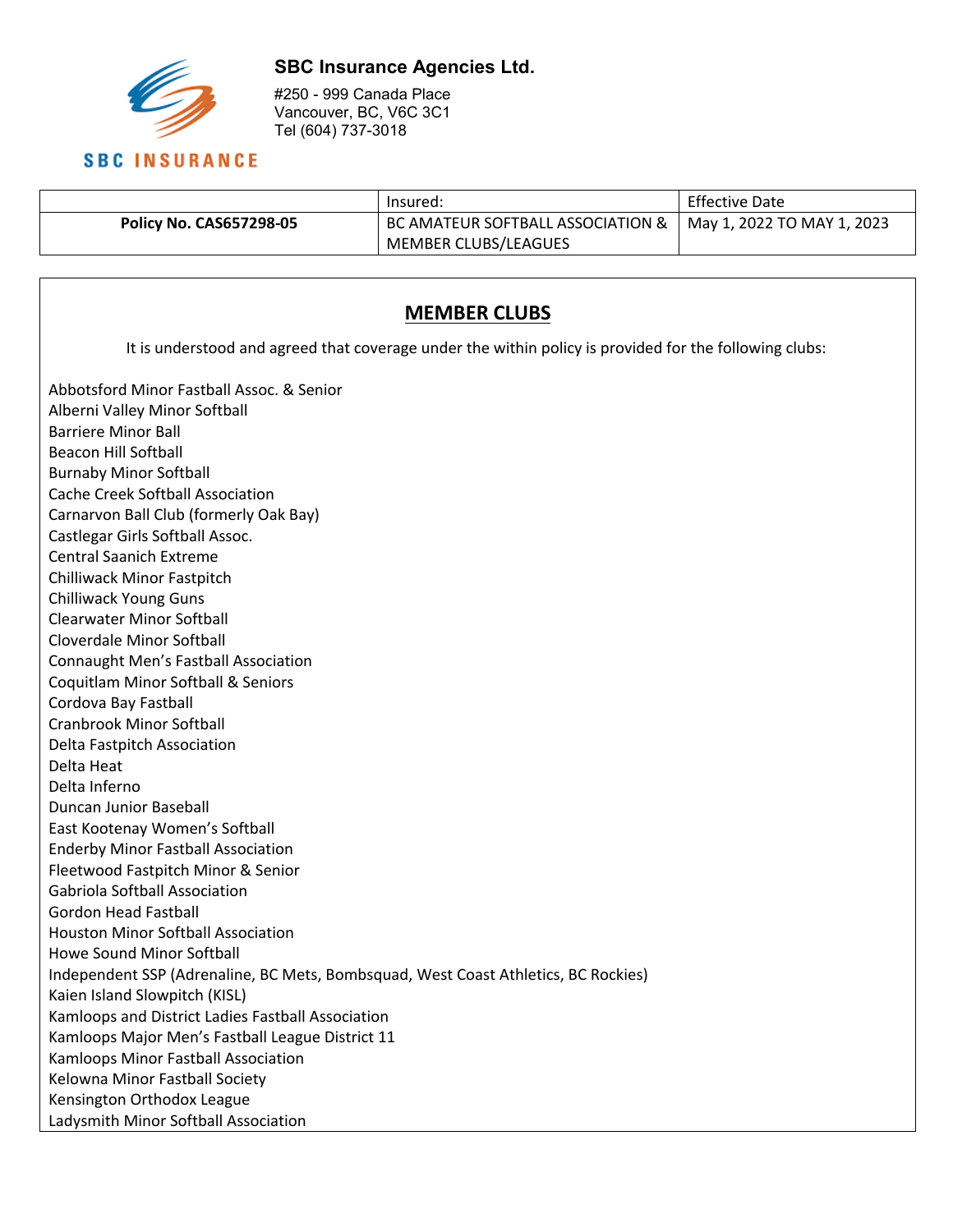

#250 - 999 Canada Place Vancouver, BC, V6C 3C1 Tel (604) 737-3018

#### Insured: Effective Date **Policy No. CAS657298-05** BC AMATEUR SOFTBALL ASSOCIATION & MEMBER CLUBS/LEAGUES May 1, 2022 TO MAY 1, 2023

## **MEMBER CLUBS**

It is understood and agreed that coverage under the within policy is provided for the following clubs:

Abbotsford Minor Fastball Assoc. & Senior Alberni Valley Minor Softball Barriere Minor Ball Beacon Hill Softball Burnaby Minor Softball Cache Creek Softball Association Carnarvon Ball Club (formerly Oak Bay) Castlegar Girls Softball Assoc. Central Saanich Extreme Chilliwack Minor Fastpitch Chilliwack Young Guns Clearwater Minor Softball Cloverdale Minor Softball Connaught Men's Fastball Association Coquitlam Minor Softball & Seniors Cordova Bay Fastball Cranbrook Minor Softball Delta Fastpitch Association Delta Heat Delta Inferno Duncan Junior Baseball East Kootenay Women's Softball Enderby Minor Fastball Association Fleetwood Fastpitch Minor & Senior Gabriola Softball Association Gordon Head Fastball Houston Minor Softball Association Howe Sound Minor Softball Independent SSP (Adrenaline, BC Mets, Bombsquad, West Coast Athletics, BC Rockies) Kaien Island Slowpitch (KISL) Kamloops and District Ladies Fastball Association Kamloops Major Men's Fastball League District 11 Kamloops Minor Fastball Association Kelowna Minor Fastball Society Kensington Orthodox League Ladysmith Minor Softball Association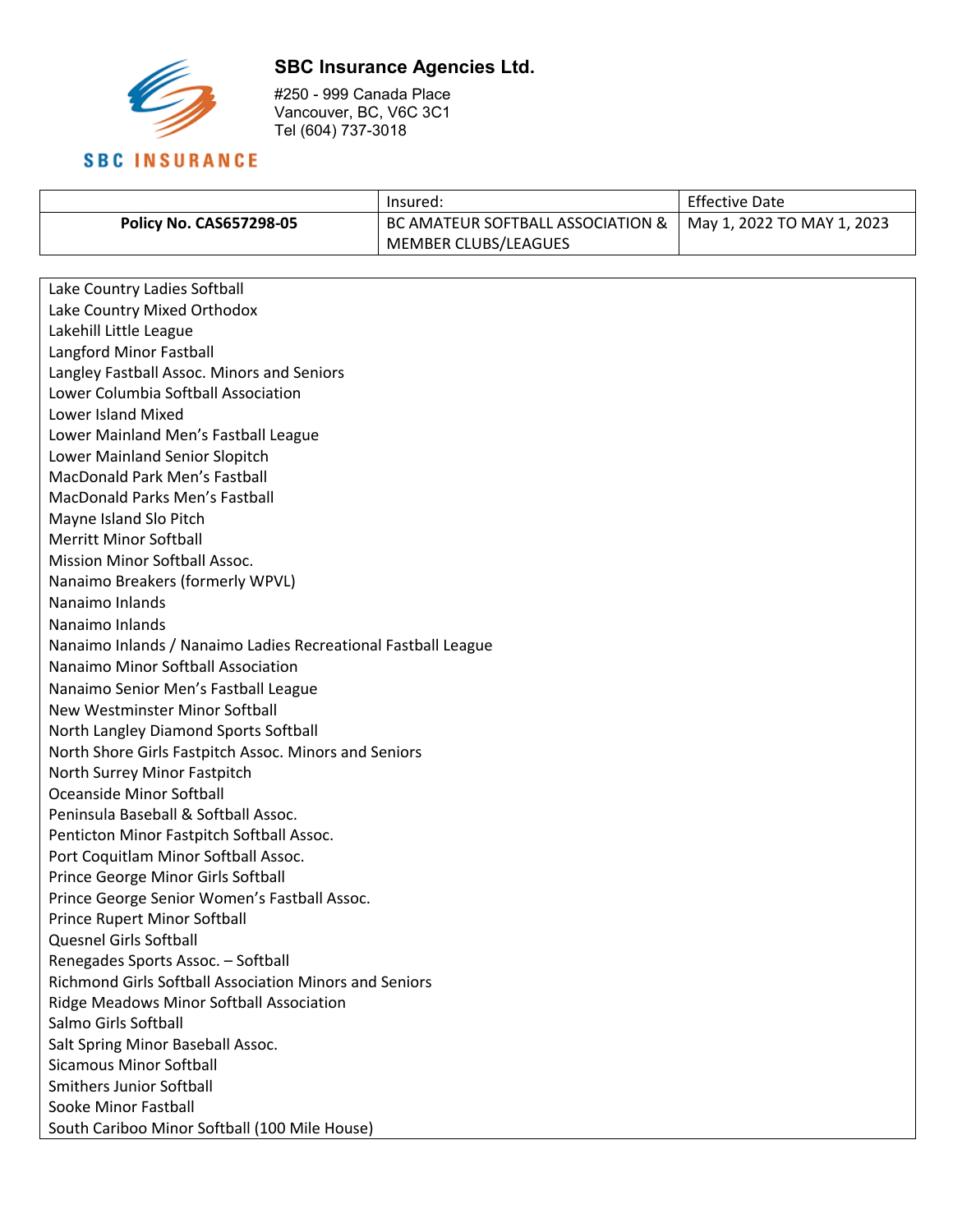

#250 - 999 Canada Place Vancouver, BC, V6C 3C1 Tel (604) 737-3018

|                                | lnsured:                          | <b>Effective Date</b>      |
|--------------------------------|-----------------------------------|----------------------------|
| <b>Policy No. CAS657298-05</b> | BC AMATEUR SOFTBALL ASSOCIATION & | May 1, 2022 TO MAY 1, 2023 |
|                                | MEMBER CLUBS/LEAGUES              |                            |

| Lake Country Ladies Softball                                  |  |
|---------------------------------------------------------------|--|
| Lake Country Mixed Orthodox                                   |  |
| Lakehill Little League                                        |  |
| Langford Minor Fastball                                       |  |
| Langley Fastball Assoc. Minors and Seniors                    |  |
| Lower Columbia Softball Association                           |  |
| <b>Lower Island Mixed</b>                                     |  |
| Lower Mainland Men's Fastball League                          |  |
| Lower Mainland Senior Slopitch                                |  |
| MacDonald Park Men's Fastball                                 |  |
| <b>MacDonald Parks Men's Fastball</b>                         |  |
| Mayne Island Slo Pitch                                        |  |
| <b>Merritt Minor Softball</b>                                 |  |
| Mission Minor Softball Assoc.                                 |  |
| Nanaimo Breakers (formerly WPVL)                              |  |
| Nanaimo Inlands                                               |  |
| Nanaimo Inlands                                               |  |
| Nanaimo Inlands / Nanaimo Ladies Recreational Fastball League |  |
| Nanaimo Minor Softball Association                            |  |
| Nanaimo Senior Men's Fastball League                          |  |
| New Westminster Minor Softball                                |  |
| North Langley Diamond Sports Softball                         |  |
| North Shore Girls Fastpitch Assoc. Minors and Seniors         |  |
| North Surrey Minor Fastpitch                                  |  |
| <b>Oceanside Minor Softball</b>                               |  |
| Peninsula Baseball & Softball Assoc.                          |  |
| Penticton Minor Fastpitch Softball Assoc.                     |  |
| Port Coquitlam Minor Softball Assoc.                          |  |
| Prince George Minor Girls Softball                            |  |
| Prince George Senior Women's Fastball Assoc.                  |  |
| <b>Prince Rupert Minor Softball</b>                           |  |
| Quesnel Girls Softball                                        |  |
| Renegades Sports Assoc. - Softball                            |  |
| Richmond Girls Softball Association Minors and Seniors        |  |
| Ridge Meadows Minor Softball Association                      |  |
| Salmo Girls Softball                                          |  |
| Salt Spring Minor Baseball Assoc.                             |  |
| <b>Sicamous Minor Softball</b>                                |  |
| <b>Smithers Junior Softball</b>                               |  |
| Sooke Minor Fastball                                          |  |
| South Cariboo Minor Softball (100 Mile House)                 |  |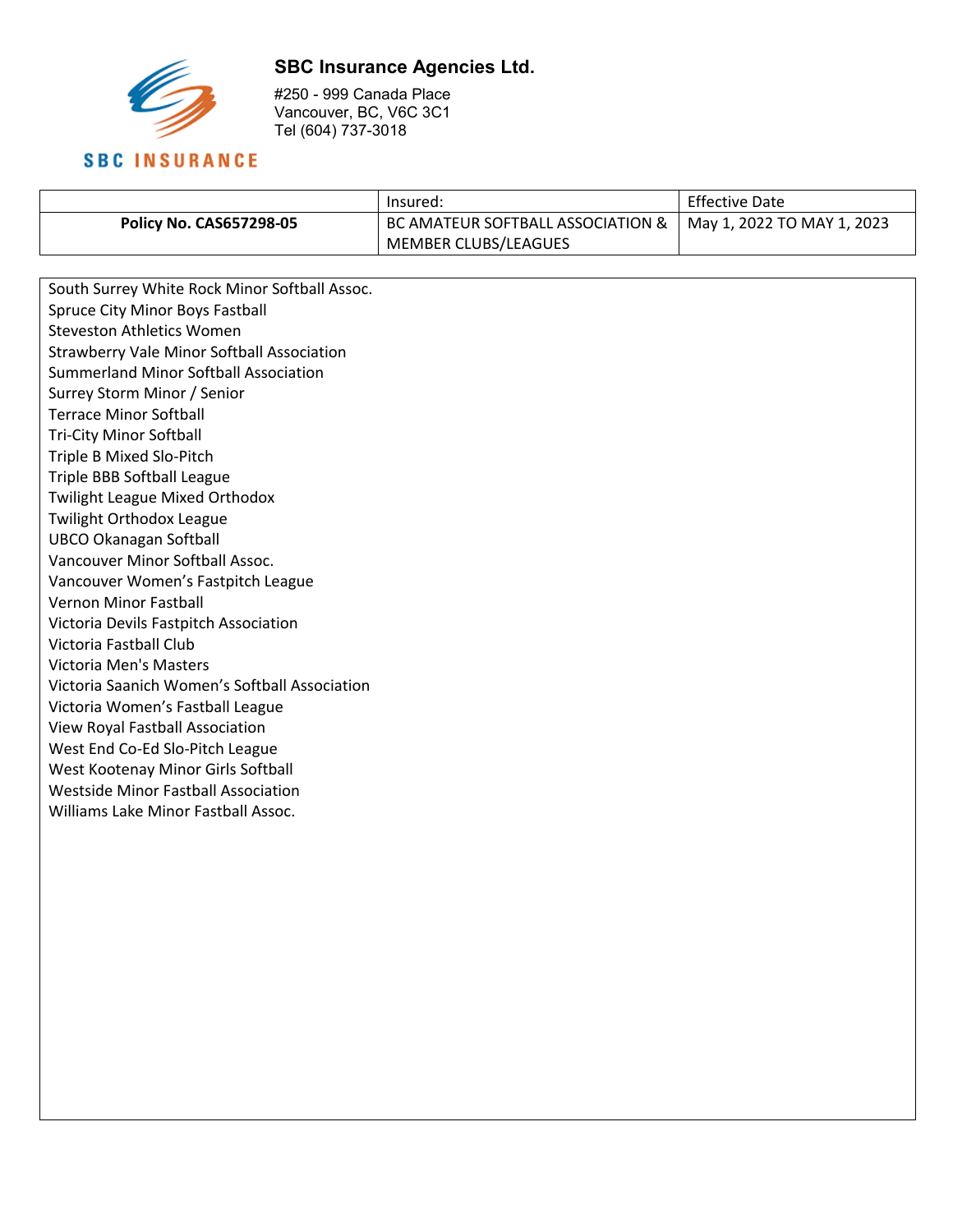

#250 - 999 Canada Place Vancouver, BC, V6C 3C1 Tel (604) 737-3018

|                                | Insured:                          | <b>Effective Date</b>      |
|--------------------------------|-----------------------------------|----------------------------|
| <b>Policy No. CAS657298-05</b> | BC AMATEUR SOFTBALL ASSOCIATION & | May 1, 2022 TO MAY 1, 2023 |
|                                | MEMBER CLUBS/LEAGUES              |                            |

South Surrey White Rock Minor Softball Assoc. Spruce City Minor Boys Fastball Steveston Athletics Women Strawberry Vale Minor Softball Association Summerland Minor Softball Association Surrey Storm Minor / Senior Terrace Minor Softball Tri-City Minor Softball Triple B Mixed Slo-Pitch Triple BBB Softball League Twilight League Mixed Orthodox Twilight Orthodox League UBCO Okanagan Softball Vancouver Minor Softball Assoc. Vancouver Women's Fastpitch League Vernon Minor Fastball Victoria Devils Fastpitch Association Victoria Fastball Club Victoria Men's Masters Victoria Saanich Women's Softball Association Victoria Women's Fastball League View Royal Fastball Association West End Co-Ed Slo-Pitch League West Kootenay Minor Girls Softball Westside Minor Fastball Association Williams Lake Minor Fastball Assoc.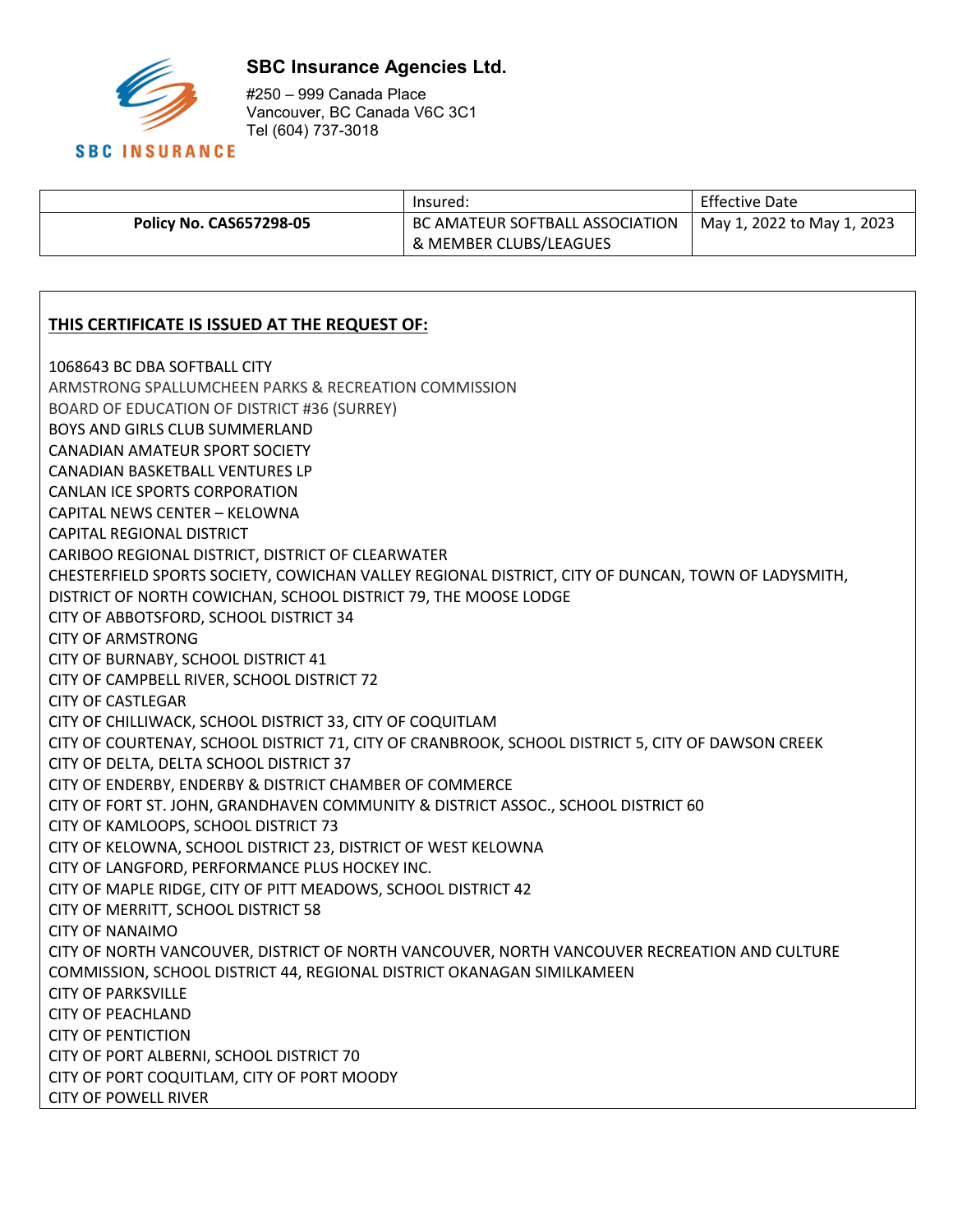

#250 – 999 Canada Place Vancouver, BC Canada V6C 3C1 Tel (604) 737-3018

|                                | lnsured:                        | <b>Effective Date</b>      |
|--------------------------------|---------------------------------|----------------------------|
| <b>Policy No. CAS657298-05</b> | BC AMATEUR SOFTBALL ASSOCIATION | May 1, 2022 to May 1, 2023 |
|                                | & MEMBER CLUBS/LEAGUES          |                            |

#### **THIS CERTIFICATE IS ISSUED AT THE REQUEST OF:**

1068643 BC DBA SOFTBALL CITY ARMSTRONG SPALLUMCHEEN PARKS & RECREATION COMMISSION BOARD OF EDUCATION OF DISTRICT #36 (SURREY) BOYS AND GIRLS CLUB SUMMERLAND CANADIAN AMATEUR SPORT SOCIETY CANADIAN BASKETBALL VENTURES LP CANLAN ICE SPORTS CORPORATION CAPITAL NEWS CENTER – KELOWNA CAPITAL REGIONAL DISTRICT CARIBOO REGIONAL DISTRICT, DISTRICT OF CLEARWATER CHESTERFIELD SPORTS SOCIETY, COWICHAN VALLEY REGIONAL DISTRICT, CITY OF DUNCAN, TOWN OF LADYSMITH, DISTRICT OF NORTH COWICHAN, SCHOOL DISTRICT 79, THE MOOSE LODGE CITY OF ABBOTSFORD, SCHOOL DISTRICT 34 CITY OF ARMSTRONG CITY OF BURNABY, SCHOOL DISTRICT 41 CITY OF CAMPBELL RIVER, SCHOOL DISTRICT 72 CITY OF CASTLEGAR CITY OF CHILLIWACK, SCHOOL DISTRICT 33, CITY OF COQUITLAM CITY OF COURTENAY, SCHOOL DISTRICT 71, CITY OF CRANBROOK, SCHOOL DISTRICT 5, CITY OF DAWSON CREEK CITY OF DELTA, DELTA SCHOOL DISTRICT 37 CITY OF ENDERBY, ENDERBY & DISTRICT CHAMBER OF COMMERCE CITY OF FORT ST. JOHN, GRANDHAVEN COMMUNITY & DISTRICT ASSOC., SCHOOL DISTRICT 60 CITY OF KAMLOOPS, SCHOOL DISTRICT 73 CITY OF KELOWNA, SCHOOL DISTRICT 23, DISTRICT OF WEST KELOWNA CITY OF LANGFORD, PERFORMANCE PLUS HOCKEY INC. CITY OF MAPLE RIDGE, CITY OF PITT MEADOWS, SCHOOL DISTRICT 42 CITY OF MERRITT, SCHOOL DISTRICT 58 CITY OF NANAIMO CITY OF NORTH VANCOUVER, DISTRICT OF NORTH VANCOUVER, NORTH VANCOUVER RECREATION AND CULTURE COMMISSION, SCHOOL DISTRICT 44, REGIONAL DISTRICT OKANAGAN SIMILKAMEEN CITY OF PARKSVILLE CITY OF PEACHLAND CITY OF PENTICTION CITY OF PORT ALBERNI, SCHOOL DISTRICT 70 CITY OF PORT COQUITLAM, CITY OF PORT MOODY CITY OF POWELL RIVER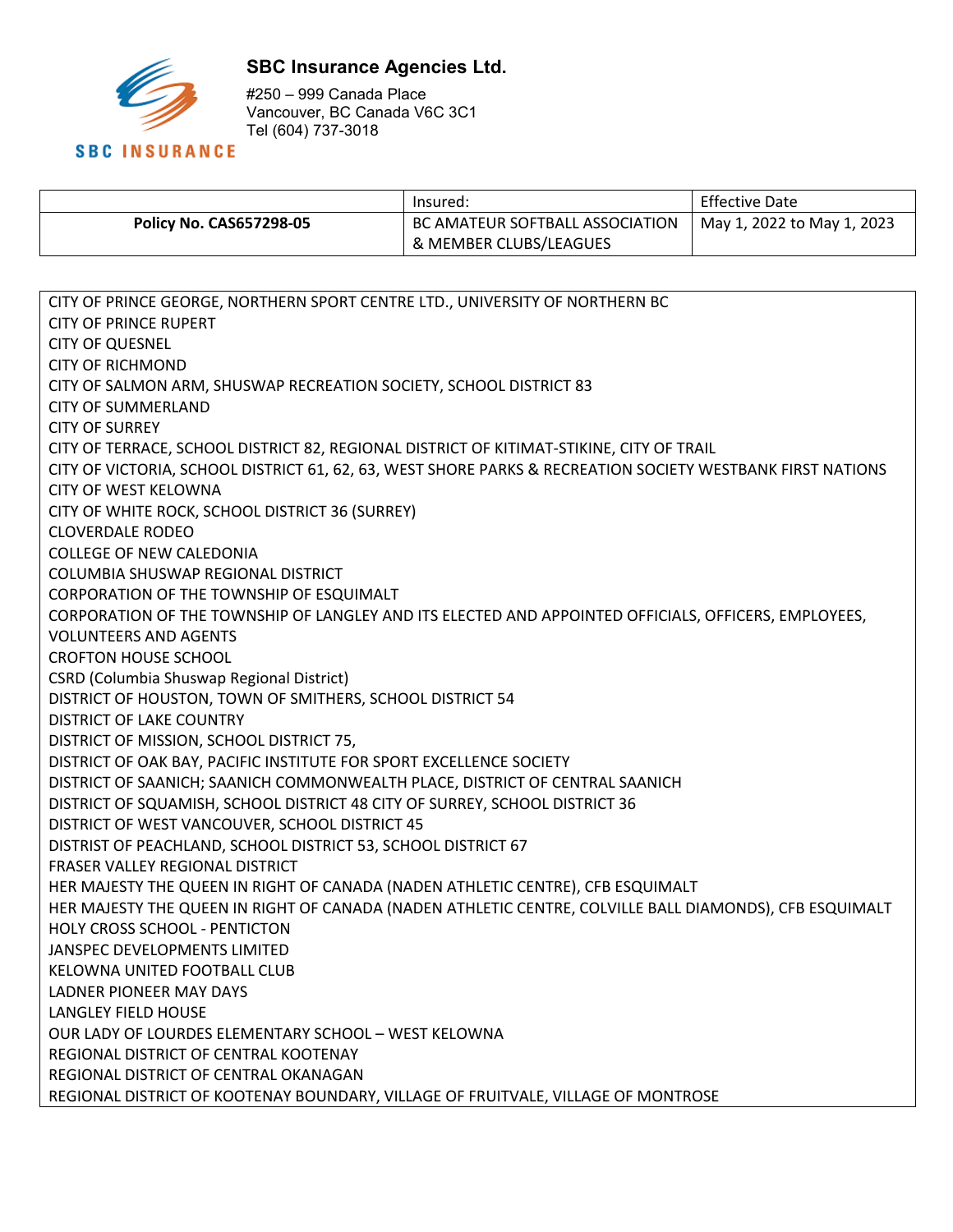

#250 – 999 Canada Place Vancouver, BC Canada V6C 3C1 Tel (604) 737-3018

|                                | :Insured                        | <b>Effective Date</b>      |
|--------------------------------|---------------------------------|----------------------------|
| <b>Policy No. CAS657298-05</b> | BC AMATEUR SOFTBALL ASSOCIATION | May 1, 2022 to May 1, 2023 |
|                                | & MEMBER CLUBS/LEAGUES          |                            |

CITY OF PRINCE GEORGE, NORTHERN SPORT CENTRE LTD., UNIVERSITY OF NORTHERN BC CITY OF PRINCE RUPERT CITY OF QUESNEL CITY OF RICHMOND CITY OF SALMON ARM, SHUSWAP RECREATION SOCIETY, SCHOOL DISTRICT 83 CITY OF SUMMERLAND CITY OF SURREY CITY OF TERRACE, SCHOOL DISTRICT 82, REGIONAL DISTRICT OF KITIMAT-STIKINE, CITY OF TRAIL CITY OF VICTORIA, SCHOOL DISTRICT 61, 62, 63, WEST SHORE PARKS & RECREATION SOCIETY WESTBANK FIRST NATIONS CITY OF WEST KELOWNA CITY OF WHITE ROCK, SCHOOL DISTRICT 36 (SURREY) CLOVERDALE RODEO COLLEGE OF NEW CALEDONIA COLUMBIA SHUSWAP REGIONAL DISTRICT CORPORATION OF THE TOWNSHIP OF ESQUIMALT CORPORATION OF THE TOWNSHIP OF LANGLEY AND ITS ELECTED AND APPOINTED OFFICIALS, OFFICERS, EMPLOYEES, VOLUNTEERS AND AGENTS CROFTON HOUSE SCHOOL CSRD (Columbia Shuswap Regional District) DISTRICT OF HOUSTON, TOWN OF SMITHERS, SCHOOL DISTRICT 54 DISTRICT OF LAKE COUNTRY DISTRICT OF MISSION, SCHOOL DISTRICT 75, DISTRICT OF OAK BAY, PACIFIC INSTITUTE FOR SPORT EXCELLENCE SOCIETY DISTRICT OF SAANICH; SAANICH COMMONWEALTH PLACE, DISTRICT OF CENTRAL SAANICH DISTRICT OF SQUAMISH, SCHOOL DISTRICT 48 CITY OF SURREY, SCHOOL DISTRICT 36 DISTRICT OF WEST VANCOUVER, SCHOOL DISTRICT 45 DISTRIST OF PEACHLAND, SCHOOL DISTRICT 53, SCHOOL DISTRICT 67 FRASER VALLEY REGIONAL DISTRICT HER MAJESTY THE QUEEN IN RIGHT OF CANADA (NADEN ATHLETIC CENTRE), CFB ESQUIMALT HER MAJESTY THE QUEEN IN RIGHT OF CANADA (NADEN ATHLETIC CENTRE, COLVILLE BALL DIAMONDS), CFB ESQUIMALT HOLY CROSS SCHOOL - PENTICTON JANSPEC DEVELOPMENTS LIMITED KELOWNA UNITED FOOTBALL CLUB LADNER PIONEER MAY DAYS LANGLEY FIELD HOUSE OUR LADY OF LOURDES ELEMENTARY SCHOOL – WEST KELOWNA REGIONAL DISTRICT OF CENTRAL KOOTENAY REGIONAL DISTRICT OF CENTRAL OKANAGAN REGIONAL DISTRICT OF KOOTENAY BOUNDARY, VILLAGE OF FRUITVALE, VILLAGE OF MONTROSE